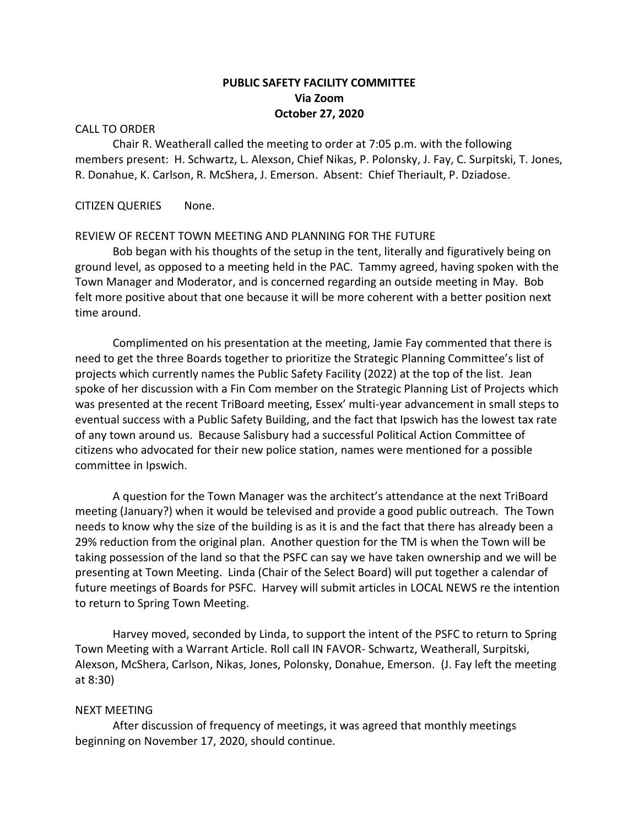# **PUBLIC SAFETY FACILITY COMMITTEE Via Zoom October 27, 2020**

#### CALL TO ORDER

Chair R. Weatherall called the meeting to order at 7:05 p.m. with the following members present: H. Schwartz, L. Alexson, Chief Nikas, P. Polonsky, J. Fay, C. Surpitski, T. Jones, R. Donahue, K. Carlson, R. McShera, J. Emerson. Absent: Chief Theriault, P. Dziadose.

### CITIZEN QUERIES None.

#### REVIEW OF RECENT TOWN MEETING AND PLANNING FOR THE FUTURE

Bob began with his thoughts of the setup in the tent, literally and figuratively being on ground level, as opposed to a meeting held in the PAC. Tammy agreed, having spoken with the Town Manager and Moderator, and is concerned regarding an outside meeting in May. Bob felt more positive about that one because it will be more coherent with a better position next time around.

Complimented on his presentation at the meeting, Jamie Fay commented that there is need to get the three Boards together to prioritize the Strategic Planning Committee's list of projects which currently names the Public Safety Facility (2022) at the top of the list. Jean spoke of her discussion with a Fin Com member on the Strategic Planning List of Projects which was presented at the recent TriBoard meeting, Essex' multi-year advancement in small steps to eventual success with a Public Safety Building, and the fact that Ipswich has the lowest tax rate of any town around us. Because Salisbury had a successful Political Action Committee of citizens who advocated for their new police station, names were mentioned for a possible committee in Ipswich.

A question for the Town Manager was the architect's attendance at the next TriBoard meeting (January?) when it would be televised and provide a good public outreach. The Town needs to know why the size of the building is as it is and the fact that there has already been a 29% reduction from the original plan. Another question for the TM is when the Town will be taking possession of the land so that the PSFC can say we have taken ownership and we will be presenting at Town Meeting. Linda (Chair of the Select Board) will put together a calendar of future meetings of Boards for PSFC. Harvey will submit articles in LOCAL NEWS re the intention to return to Spring Town Meeting.

Harvey moved, seconded by Linda, to support the intent of the PSFC to return to Spring Town Meeting with a Warrant Article. Roll call IN FAVOR- Schwartz, Weatherall, Surpitski, Alexson, McShera, Carlson, Nikas, Jones, Polonsky, Donahue, Emerson. (J. Fay left the meeting at 8:30)

#### NEXT MEETING

After discussion of frequency of meetings, it was agreed that monthly meetings beginning on November 17, 2020, should continue.